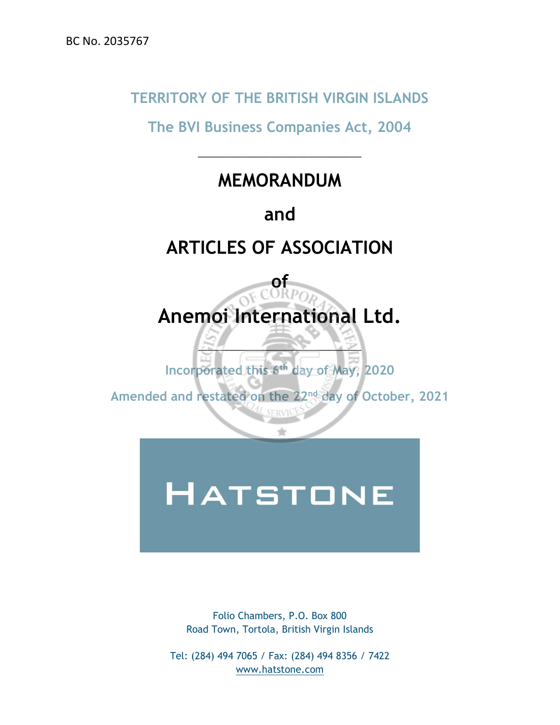# **TERRITORY OF THE BRITISH VIRGIN ISLANDS**

**The BVI Business Companies Act, 2004**

# **MEMORANDUM**

\_\_\_\_\_\_\_\_\_\_\_\_\_\_\_\_\_\_\_\_\_\_\_\_\_\_\_\_\_\_\_

# **and**

# **ARTICLES OF ASSOCIATION**



**Incorporated this 6 th day of May, 2020**

 $\mathbb{Z}$   $\longrightarrow$   $\mathbb{Z}$ 

Amended and restated on the 22<sup>nd</sup> day of October, 2021

# **HATSTONE**

Folio Chambers, P.O. Box 800 Road Town, Tortola, British Virgin Islands

Tel: (284) 494 7065 / Fax: (284) 494 8356 / 7422 [www.hatstone.com](http://www.hatstone.com/)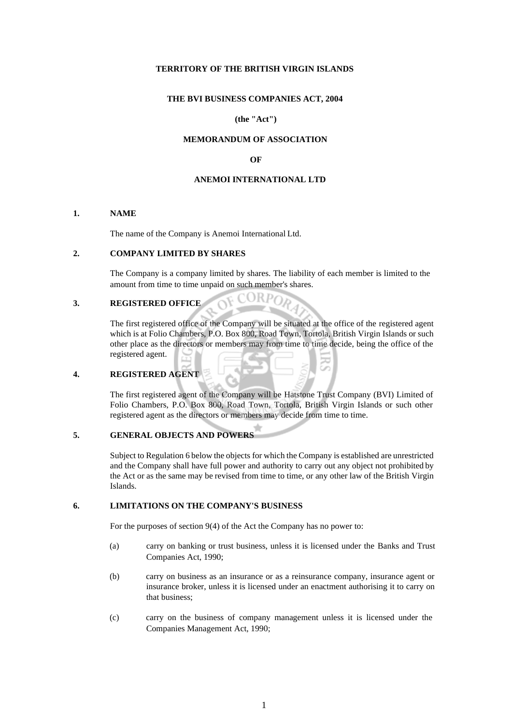# **TERRITORY OF THE BRITISH VIRGIN ISLANDS**

# **THE BVI BUSINESS COMPANIES ACT, 2004**

# **(the "Act")**

# **MEMORANDUM OF ASSOCIATION**

# **OF**

#### **ANEMOI INTERNATIONAL LTD**

#### **1. NAME**

The name of the Company is Anemoi International Ltd.

#### **2. COMPANY LIMITED BY SHARES**

The Company is a company limited by shares. The liability of each member is limited to the amount from time to time unpaid on such member's shares.

OF CORPO

# **3. REGISTERED OFFICE**

The first registered office of the Company will be situated at the office of the registered agent which is at Folio Chambers, P.O. Box 800, Road Town, Tortola, British Virgin Islands or such other place as the directors or members may from time to time decide, being the office of the registered agent.

# **4. REGISTERED AGENT**

The first registered agent of the Company will be Hatstone Trust Company (BVI) Limited of Folio Chambers, P.O. Box 800, Road Town, Tortola, British Virgin Islands or such other registered agent as the directors or members may decide from time to time.

# **5. GENERAL OBJECTS AND POWERS**

Subject to Regulation 6 below the objects for which the Company is established are unrestricted and the Company shall have full power and authority to carry out any object not prohibited by the Act or as the same may be revised from time to time, or any other law of the British Virgin Islands.

# **6. LIMITATIONS ON THE COMPANY'S BUSINESS**

For the purposes of section 9(4) of the Act the Company has no power to:

- (a) carry on banking or trust business, unless it is licensed under the Banks and Trust Companies Act, 1990;
- (b) carry on business as an insurance or as a reinsurance company, insurance agent or insurance broker, unless it is licensed under an enactment authorising it to carry on that business;
- (c) carry on the business of company management unless it is licensed under the Companies Management Act, 1990;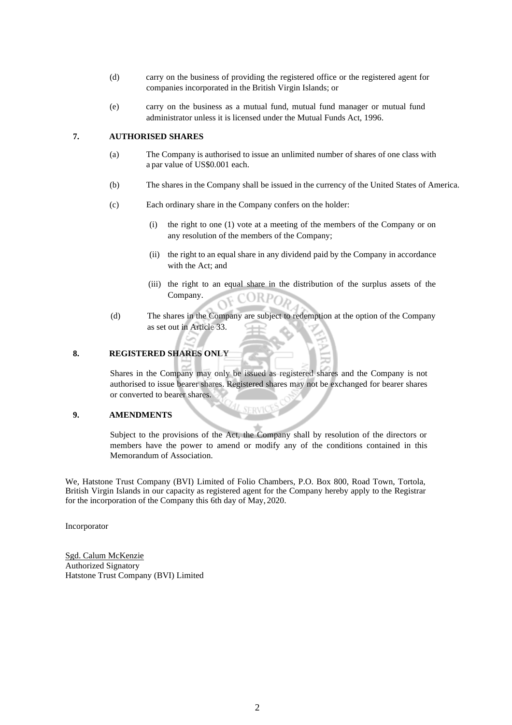- (d) carry on the business of providing the registered office or the registered agent for companies incorporated in the British Virgin Islands; or
- (e) carry on the business as a mutual fund, mutual fund manager or mutual fund administrator unless it is licensed under the Mutual Funds Act, 1996.

# **7. AUTHORISED SHARES**

- (a) The Company is authorised to issue an unlimited number of shares of one class with a par value of US\$0.001 each.
- (b) The shares in the Company shall be issued in the currency of the United States of America.
- (c) Each ordinary share in the Company confers on the holder:
	- (i) the right to one (1) vote at a meeting of the members of the Company or on any resolution of the members of the Company;
	- (ii) the right to an equal share in any dividend paid by the Company in accordance with the Act; and
	- (iii) the right to an equal share in the distribution of the surplus assets of the Company.  $ORP$
- (d) The shares in the Company are subject to redemption at the option of the Company as set out in Article 33.

# **8. REGISTERED SHARES ONLY**

Shares in the Company may only be issued as registered shares and the Company is not authorised to issue bearer shares. Registered shares may not be exchanged for bearer shares or converted to bearer shares.

# **9. AMENDMENTS**

Subject to the provisions of the Act, the Company shall by resolution of the directors or members have the power to amend or modify any of the conditions contained in this Memorandum of Association.

We, Hatstone Trust Company (BVI) Limited of Folio Chambers, P.O. Box 800, Road Town, Tortola, British Virgin Islands in our capacity as registered agent for the Company hereby apply to the Registrar for the incorporation of the Company this 6th day of May, 2020.

Incorporator

Sgd. Calum McKenzie Authorized Signatory Hatstone Trust Company (BVI) Limited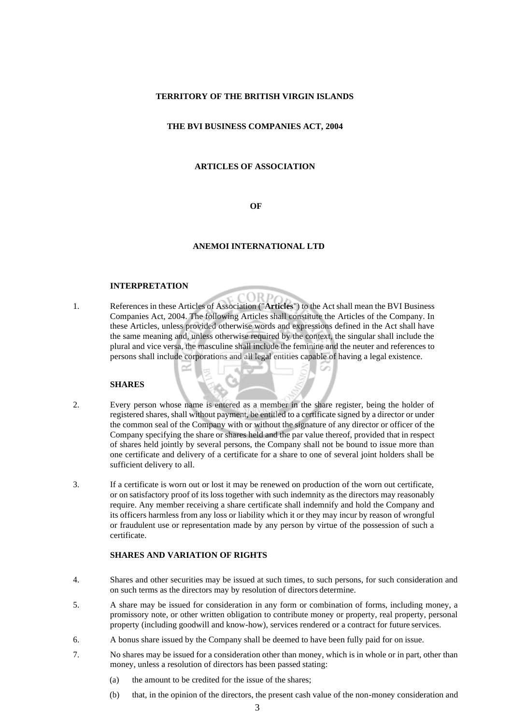#### **TERRITORY OF THE BRITISH VIRGIN ISLANDS**

#### **THE BVI BUSINESS COMPANIES ACT, 2004**

#### **ARTICLES OF ASSOCIATION**

#### **OF**

#### **ANEMOI INTERNATIONAL LTD**

ORD

#### **INTERPRETATION**

1. References in these Articles of Association ("**Articles**") to the Act shall mean the BVI Business Companies Act, 2004. The following Articles shall constitute the Articles of the Company. In these Articles, unless provided otherwise words and expressions defined in the Act shall have the same meaning and, unless otherwise required by the context, the singular shall include the plural and vice versa, the masculine shall include the feminine and the neuter and references to persons shall include corporations and all legal entities capable of having a legal existence.

# **SHARES**

- 2. Every person whose name is entered as a member in the share register, being the holder of registered shares, shall without payment, be entitled to a certificate signed by a director or under the common seal of the Company with or without the signature of any director or officer of the Company specifying the share or shares held and the par value thereof, provided that in respect of shares held jointly by several persons, the Company shall not be bound to issue more than one certificate and delivery of a certificate for a share to one of several joint holders shall be sufficient delivery to all.
- 3. If a certificate is worn out or lost it may be renewed on production of the worn out certificate, or on satisfactory proof of its loss together with such indemnity as the directors may reasonably require. Any member receiving a share certificate shall indemnify and hold the Company and its officers harmless from any loss or liability which it or they may incur by reason of wrongful or fraudulent use or representation made by any person by virtue of the possession of such a certificate.

# **SHARES AND VARIATION OF RIGHTS**

- 4. Shares and other securities may be issued at such times, to such persons, for such consideration and on such terms as the directors may by resolution of directors determine.
- 5. A share may be issued for consideration in any form or combination of forms, including money, a promissory note, or other written obligation to contribute money or property, real property, personal property (including goodwill and know-how), services rendered or a contract for future services.
- 6. A bonus share issued by the Company shall be deemed to have been fully paid for on issue.
- 7. No shares may be issued for a consideration other than money, which is in whole or in part, other than money, unless a resolution of directors has been passed stating:
	- (a) the amount to be credited for the issue of the shares;
	- (b) that, in the opinion of the directors, the present cash value of the non-money consideration and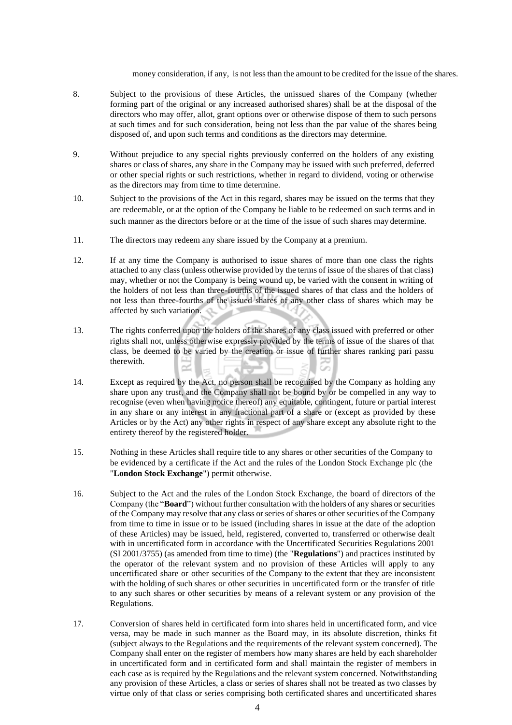money consideration, if any, is not less than the amount to be credited for the issue of the shares.

- 8. Subject to the provisions of these Articles, the unissued shares of the Company (whether forming part of the original or any increased authorised shares) shall be at the disposal of the directors who may offer, allot, grant options over or otherwise dispose of them to such persons at such times and for such consideration, being not less than the par value of the shares being disposed of, and upon such terms and conditions as the directors may determine.
- 9. Without prejudice to any special rights previously conferred on the holders of any existing shares or class of shares, any share in the Company may be issued with such preferred, deferred or other special rights or such restrictions, whether in regard to dividend, voting or otherwise as the directors may from time to time determine.
- 10. Subject to the provisions of the Act in this regard, shares may be issued on the terms that they are redeemable, or at the option of the Company be liable to be redeemed on such terms and in such manner as the directors before or at the time of the issue of such shares may determine.
- 11. The directors may redeem any share issued by the Company at a premium.
- 12. If at any time the Company is authorised to issue shares of more than one class the rights attached to any class (unless otherwise provided by the terms of issue of the shares of that class) may, whether or not the Company is being wound up, be varied with the consent in writing of the holders of not less than three-fourths of the issued shares of that class and the holders of not less than three-fourths of the issued shares of any other class of shares which may be affected by such variation.
- 13. The rights conferred upon the holders of the shares of any class issued with preferred or other rights shall not, unless otherwise expressly provided by the terms of issue of the shares of that class, be deemed to be varied by the creation or issue of further shares ranking pari passu therewith.
- 14. Except as required by the Act, no person shall be recognised by the Company as holding any share upon any trust, and the Company shall not be bound by or be compelled in any way to recognise (even when having notice thereof) any equitable, contingent, future or partial interest in any share or any interest in any fractional part of a share or (except as provided by these Articles or by the Act) any other rights in respect of any share except any absolute right to the entirety thereof by the registered holder.
- 15. Nothing in these Articles shall require title to any shares or other securities of the Company to be evidenced by a certificate if the Act and the rules of the London Stock Exchange plc (the "**London Stock Exchange**") permit otherwise.
- 16. Subject to the Act and the rules of the London Stock Exchange, the board of directors of the Company (the "**Board**") without further consultation with the holders of any shares or securities of the Company may resolve that any class or series of shares or other securities of the Company from time to time in issue or to be issued (including shares in issue at the date of the adoption of these Articles) may be issued, held, registered, converted to, transferred or otherwise dealt with in uncertificated form in accordance with the Uncertificated Securities Regulations 2001 (SI 2001/3755) (as amended from time to time) (the "**Regulations**") and practices instituted by the operator of the relevant system and no provision of these Articles will apply to any uncertificated share or other securities of the Company to the extent that they are inconsistent with the holding of such shares or other securities in uncertificated form or the transfer of title to any such shares or other securities by means of a relevant system or any provision of the Regulations.
- 17. Conversion of shares held in certificated form into shares held in uncertificated form, and vice versa, may be made in such manner as the Board may, in its absolute discretion, thinks fit (subject always to the Regulations and the requirements of the relevant system concerned). The Company shall enter on the register of members how many shares are held by each shareholder in uncertificated form and in certificated form and shall maintain the register of members in each case as is required by the Regulations and the relevant system concerned. Notwithstanding any provision of these Articles, a class or series of shares shall not be treated as two classes by virtue only of that class or series comprising both certificated shares and uncertificated shares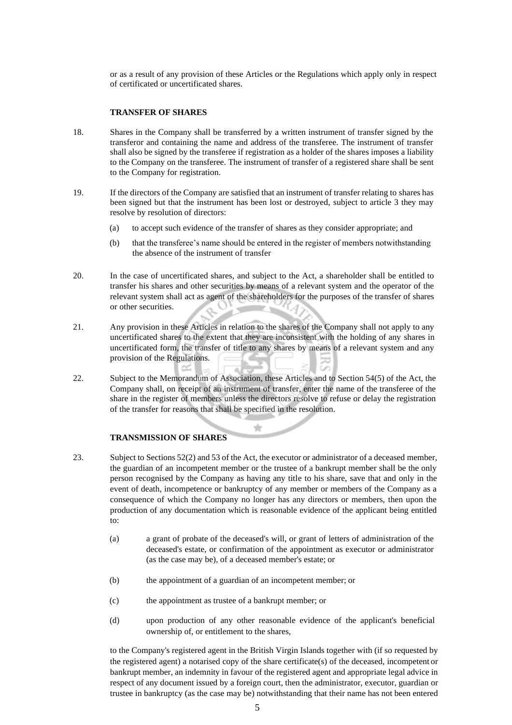or as a result of any provision of these Articles or the Regulations which apply only in respect of certificated or uncertificated shares.

# **TRANSFER OF SHARES**

- 18. Shares in the Company shall be transferred by a written instrument of transfer signed by the transferor and containing the name and address of the transferee. The instrument of transfer shall also be signed by the transferee if registration as a holder of the shares imposes a liability to the Company on the transferee. The instrument of transfer of a registered share shall be sent to the Company for registration.
- 19. If the directors of the Company are satisfied that an instrument of transfer relating to shares has been signed but that the instrument has been lost or destroyed, subject to article 3 they may resolve by resolution of directors:
	- (a) to accept such evidence of the transfer of shares as they consider appropriate; and
	- (b) that the transferee's name should be entered in the register of members notwithstanding the absence of the instrument of transfer
- 20. In the case of uncertificated shares, and subject to the Act, a shareholder shall be entitled to transfer his shares and other securities by means of a relevant system and the operator of the relevant system shall act as agent of the shareholders for the purposes of the transfer of shares or other securities.
- 21. Any provision in these Articles in relation to the shares of the Company shall not apply to any uncertificated shares to the extent that they are inconsistent with the holding of any shares in uncertificated form, the transfer of title to any shares by means of a relevant system and any provision of the Regulations.
- 22. Subject to the Memorandum of Association, these Articles and to Section 54(5) of the Act, the Company shall, on receipt of an instrument of transfer, enter the name of the transferee of the share in the register of members unless the directors resolve to refuse or delay the registration of the transfer for reasons that shall be specified in the resolution.

## **TRANSMISSION OF SHARES**

- 23. Subject to Sections 52(2) and 53 of the Act, the executor or administrator of a deceased member, the guardian of an incompetent member or the trustee of a bankrupt member shall be the only person recognised by the Company as having any title to his share, save that and only in the event of death, incompetence or bankruptcy of any member or members of the Company as a consequence of which the Company no longer has any directors or members, then upon the production of any documentation which is reasonable evidence of the applicant being entitled to:
	- (a) a grant of probate of the deceased's will, or grant of letters of administration of the deceased's estate, or confirmation of the appointment as executor or administrator (as the case may be), of a deceased member's estate; or
	- (b) the appointment of a guardian of an incompetent member; or
	- (c) the appointment as trustee of a bankrupt member; or
	- (d) upon production of any other reasonable evidence of the applicant's beneficial ownership of, or entitlement to the shares,

to the Company's registered agent in the British Virgin Islands together with (if so requested by the registered agent) a notarised copy of the share certificate(s) of the deceased, incompetent or bankrupt member, an indemnity in favour of the registered agent and appropriate legal advice in respect of any document issued by a foreign court, then the administrator, executor, guardian or trustee in bankruptcy (as the case may be) notwithstanding that their name has not been entered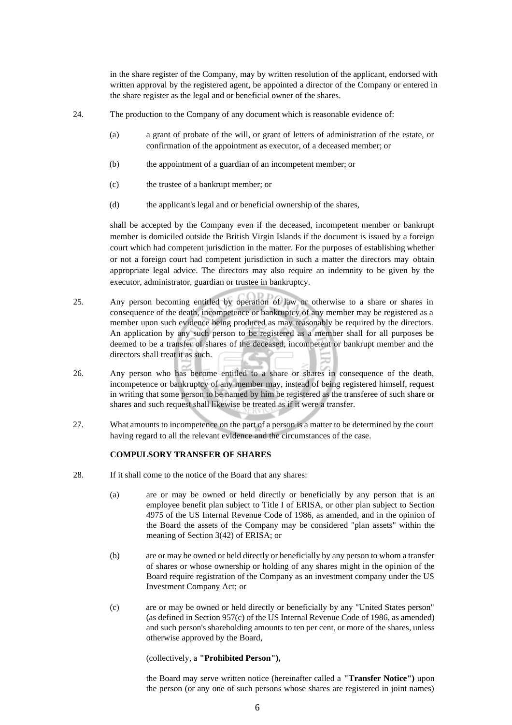in the share register of the Company, may by written resolution of the applicant, endorsed with written approval by the registered agent, be appointed a director of the Company or entered in the share register as the legal and or beneficial owner of the shares.

- 24. The production to the Company of any document which is reasonable evidence of:
	- (a) a grant of probate of the will, or grant of letters of administration of the estate, or confirmation of the appointment as executor, of a deceased member; or
	- (b) the appointment of a guardian of an incompetent member; or
	- (c) the trustee of a bankrupt member; or
	- (d) the applicant's legal and or beneficial ownership of the shares,

shall be accepted by the Company even if the deceased, incompetent member or bankrupt member is domiciled outside the British Virgin Islands if the document is issued by a foreign court which had competent jurisdiction in the matter. For the purposes of establishing whether or not a foreign court had competent jurisdiction in such a matter the directors may obtain appropriate legal advice. The directors may also require an indemnity to be given by the executor, administrator, guardian or trustee in bankruptcy.

- 25. Any person becoming entitled by operation of law or otherwise to a share or shares in consequence of the death, incompetence or bankruptcy of any member may be registered as a member upon such evidence being produced as may reasonably be required by the directors. An application by any such person to be registered as a member shall for all purposes be deemed to be a transfer of shares of the deceased, incompetent or bankrupt member and the directors shall treat it as such.
- 26. Any person who has become entitled to a share or shares in consequence of the death, incompetence or bankruptcy of any member may, instead of being registered himself, request in writing that some person to be named by him be registered as the transferee of such share or shares and such request shall likewise be treated as if it were a transfer.
- 27. What amounts to incompetence on the part of a person is a matter to be determined by the court having regard to all the relevant evidence and the circumstances of the case.

# **COMPULSORY TRANSFER OF SHARES**

- 28. If it shall come to the notice of the Board that any shares:
	- (a) are or may be owned or held directly or beneficially by any person that is an employee benefit plan subject to Title I of ERISA, or other plan subject to Section 4975 of the US Internal Revenue Code of 1986, as amended, and in the opinion of the Board the assets of the Company may be considered "plan assets" within the meaning of Section 3(42) of ERISA; or
	- (b) are or may be owned or held directly or beneficially by any person to whom a transfer of shares or whose ownership or holding of any shares might in the opinion of the Board require registration of the Company as an investment company under the US Investment Company Act; or
	- (c) are or may be owned or held directly or beneficially by any "United States person" (as defined in Section 957(c) of the US Internal Revenue Code of 1986, as amended) and such person's shareholding amounts to ten per cent, or more of the shares, unless otherwise approved by the Board,

#### (collectively, a **"Prohibited Person"),**

the Board may serve written notice (hereinafter called a **"Transfer Notice")** upon the person (or any one of such persons whose shares are registered in joint names)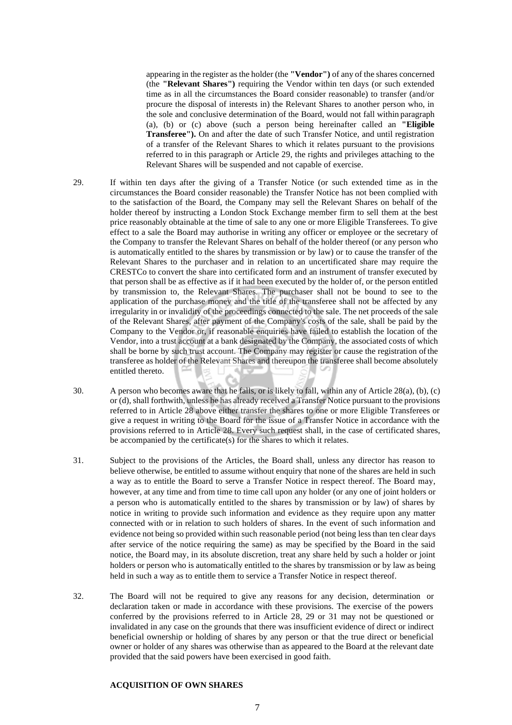appearing in the register as the holder (the **"Vendor")** of any of the shares concerned (the **"Relevant Shares")** requiring the Vendor within ten days (or such extended time as in all the circumstances the Board consider reasonable) to transfer (and/or procure the disposal of interests in) the Relevant Shares to another person who, in the sole and conclusive determination of the Board, would not fall within paragraph (a), (b) or (c) above (such a person being hereinafter called an **"Eligible Transferee").** On and after the date of such Transfer Notice, and until registration of a transfer of the Relevant Shares to which it relates pursuant to the provisions referred to in this paragraph or Article 29, the rights and privileges attaching to the Relevant Shares will be suspended and not capable of exercise.

- 29. If within ten days after the giving of a Transfer Notice (or such extended time as in the circumstances the Board consider reasonable) the Transfer Notice has not been complied with to the satisfaction of the Board, the Company may sell the Relevant Shares on behalf of the holder thereof by instructing a London Stock Exchange member firm to sell them at the best price reasonably obtainable at the time of sale to any one or more Eligible Transferees. To give effect to a sale the Board may authorise in writing any officer or employee or the secretary of the Company to transfer the Relevant Shares on behalf of the holder thereof (or any person who is automatically entitled to the shares by transmission or by law) or to cause the transfer of the Relevant Shares to the purchaser and in relation to an uncertificated share may require the CRESTCo to convert the share into certificated form and an instrument of transfer executed by that person shall be as effective as if it had been executed by the holder of, or the person entitled by transmission to, the Relevant Shares. The purchaser shall not be bound to see to the application of the purchase money and the title of the transferee shall not be affected by any irregularity in or invalidity of the proceedings connected to the sale. The net proceeds of the sale of the Relevant Shares, after payment of the Company's costs of the sale, shall be paid by the Company to the Vendor or, if reasonable enquiries have failed to establish the location of the Vendor, into a trust account at a bank designated by the Company, the associated costs of which shall be borne by such trust account. The Company may register or cause the registration ofthe transferee as holder of the Relevant Shares and thereupon the transferee shall become absolutely entitled thereto.
- 30. A person who becomes aware that he falls, or is likely to fall, within any of Article 28(a), (b), (c) or (d), shall forthwith, unless he has already received a Transfer Notice pursuant to the provisions referred to in Article 28 above either transfer the shares to one or more Eligible Transferees or give a request in writing to the Board for the issue of a Transfer Notice in accordance with the provisions referred to in Article 28. Every such request shall, in the case of certificated shares, be accompanied by the certificate(s) for the shares to which it relates.
- 31. Subject to the provisions of the Articles, the Board shall, unless any director has reason to believe otherwise, be entitled to assume without enquiry that none of the shares are held in such a way as to entitle the Board to serve a Transfer Notice in respect thereof. The Board may, however, at any time and from time to time call upon any holder (or any one of joint holders or a person who is automatically entitled to the shares by transmission or by law) of shares by notice in writing to provide such information and evidence as they require upon any matter connected with or in relation to such holders of shares. In the event of such information and evidence not being so provided within such reasonable period (not being less than ten clear days after service of the notice requiring the same) as may be specified by the Board in the said notice, the Board may, in its absolute discretion, treat any share held by such a holder or joint holders or person who is automatically entitled to the shares by transmission or by law as being held in such a way as to entitle them to service a Transfer Notice in respect thereof.
- 32. The Board will not be required to give any reasons for any decision, determination or declaration taken or made in accordance with these provisions. The exercise of the powers conferred by the provisions referred to in Article 28, 29 or 31 may not be questioned or invalidated in any case on the grounds that there was insufficient evidence of direct or indirect beneficial ownership or holding of shares by any person or that the true direct or beneficial owner or holder of any shares was otherwise than as appeared to the Board at the relevant date provided that the said powers have been exercised in good faith.

# **ACQUISITION OF OWN SHARES**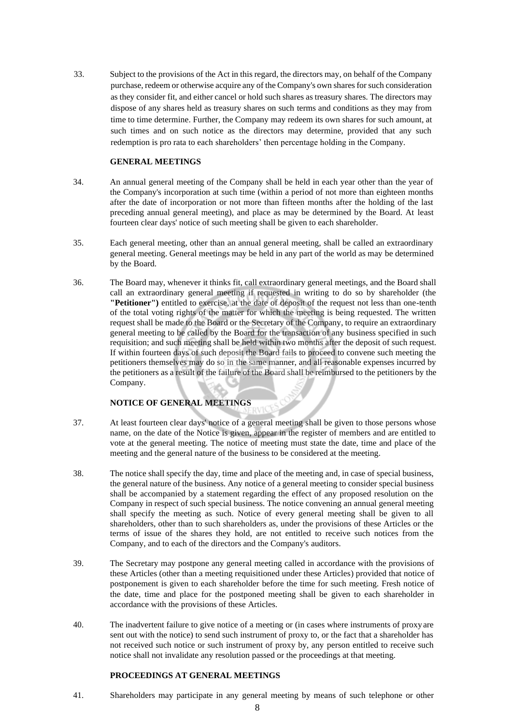33. Subject to the provisions of the Act in this regard, the directors may, on behalf of the Company purchase, redeem or otherwise acquire any of the Company's own shares for such consideration as they consider fit, and either cancel or hold such shares as treasury shares. The directors may dispose of any shares held as treasury shares on such terms and conditions as they may from time to time determine. Further, the Company may redeem its own shares for such amount, at such times and on such notice as the directors may determine, provided that any such redemption is pro rata to each shareholders' then percentage holding in the Company.

# **GENERAL MEETINGS**

- 34. An annual general meeting of the Company shall be held in each year other than the year of the Company's incorporation at such time (within a period of not more than eighteen months after the date of incorporation or not more than fifteen months after the holding of the last preceding annual general meeting), and place as may be determined by the Board. At least fourteen clear days' notice of such meeting shall be given to each shareholder.
- 35. Each general meeting, other than an annual general meeting, shall be called an extraordinary general meeting. General meetings may be held in any part of the world as may be determined by the Board.
- 36. The Board may, whenever it thinks fit, call extraordinary general meetings, and the Board shall call an extraordinary general meeting if requested in writing to do so by shareholder (the **"Petitioner")** entitled to exercise, at the date of deposit of the request not less than one-tenth of the total voting rights of the matter for which the meeting is being requested. The written request shall be made to the Board or the Secretary of the Company, to require an extraordinary general meeting to be called by the Board for the transaction of any business specified in such requisition; and such meeting shall be held within two months after the deposit of such request. If within fourteen days of such deposit the Board fails to proceed to convene such meeting the petitioners themselves may do so in the same manner, and all reasonable expenses incurred by the petitioners as a result of the failure of the Board shall be reimbursed to the petitioners by the Company.

# **NOTICE OF GENERAL MEETINGS**

- 37. At least fourteen clear days' notice of a general meeting shall be given to those persons whose name, on the date of the Notice is given, appear in the register of members and are entitled to vote at the general meeting. The notice of meeting must state the date, time and place of the meeting and the general nature of the business to be considered at the meeting.
- 38. The notice shall specify the day, time and place of the meeting and, in case of special business, the general nature of the business. Any notice of a general meeting to consider special business shall be accompanied by a statement regarding the effect of any proposed resolution on the Company in respect of such special business. The notice convening an annual general meeting shall specify the meeting as such. Notice of every general meeting shall be given to all shareholders, other than to such shareholders as, under the provisions of these Articles or the terms of issue of the shares they hold, are not entitled to receive such notices from the Company, and to each of the directors and the Company's auditors.
- 39. The Secretary may postpone any general meeting called in accordance with the provisions of these Articles (other than a meeting requisitioned under these Articles) provided that notice of postponement is given to each shareholder before the time for such meeting. Fresh notice of the date, time and place for the postponed meeting shall be given to each shareholder in accordance with the provisions of these Articles.
- 40. The inadvertent failure to give notice of a meeting or (in cases where instruments of proxyare sent out with the notice) to send such instrument of proxy to, or the fact that a shareholder has not received such notice or such instrument of proxy by, any person entitled to receive such notice shall not invalidate any resolution passed or the proceedings at that meeting.

#### **PROCEEDINGS AT GENERAL MEETINGS**

41. Shareholders may participate in any general meeting by means of such telephone or other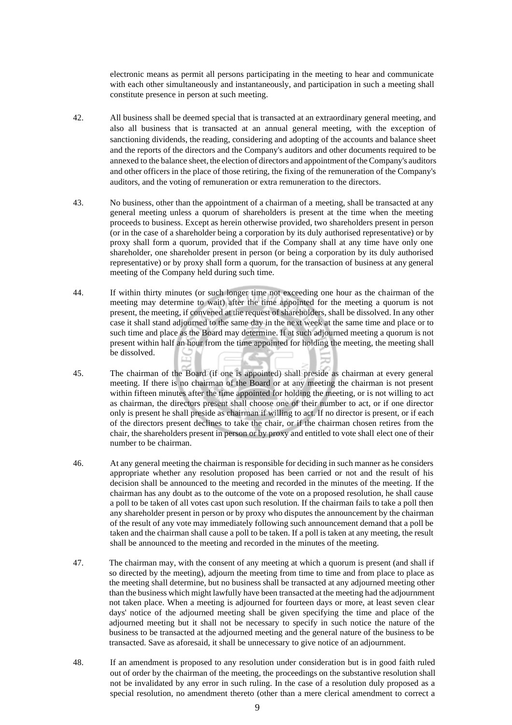electronic means as permit all persons participating in the meeting to hear and communicate with each other simultaneously and instantaneously, and participation in such a meeting shall constitute presence in person at such meeting.

- 42. All business shall be deemed special that is transacted at an extraordinary general meeting, and also all business that is transacted at an annual general meeting, with the exception of sanctioning dividends, the reading, considering and adopting of the accounts and balance sheet and the reports of the directors and the Company's auditors and other documents required to be annexed to the balance sheet, the election of directors and appointment oftheCompany's auditors and other officers in the place of those retiring, the fixing of the remuneration of the Company's auditors, and the voting of remuneration or extra remuneration to the directors.
- 43. No business, other than the appointment of a chairman of a meeting, shall be transacted at any general meeting unless a quorum of shareholders is present at the time when the meeting proceeds to business. Except as herein otherwise provided, two shareholders present in person (or in the case of a shareholder being a corporation by its duly authorised representative) or by proxy shall form a quorum, provided that if the Company shall at any time have only one shareholder, one shareholder present in person (or being a corporation by its duly authorised representative) or by proxy shall form a quorum, for the transaction of business at any general meeting of the Company held during such time.
- 44. If within thirty minutes (or such longer time not exceeding one hour as the chairman of the meeting may determine to wait) after the time appointed for the meeting a quorum is not present, the meeting, if convened at the request of shareholders, shall be dissolved. In any other case it shall stand adjourned to the same day in the next week at the same time and place or to such time and place as the Board may determine. If at such adjourned meeting a quorum is not present within half an hour from the time appointed for holding the meeting, the meeting shall be dissolved.
- 45. The chairman of the Board (if one is appointed) shall preside as chairman at every general meeting. If there is no chairman of the Board or at any meeting the chairman is not present within fifteen minutes after the time appointed for holding the meeting, or is not willing to act as chairman, the directors present shall choose one of their number to act, or if one director only is present he shall preside as chairman if willing to act. If no director is present, or if each of the directors present declines to take the chair, or if the chairman chosen retires from the chair, the shareholders present in person or by proxy and entitled to vote shall elect one of their number to be chairman.
- 46. At any general meeting the chairman is responsible for deciding in such manner as he considers appropriate whether any resolution proposed has been carried or not and the result of his decision shall be announced to the meeting and recorded in the minutes of the meeting. If the chairman has any doubt as to the outcome of the vote on a proposed resolution, he shall cause a poll to be taken of all votes cast upon such resolution. If the chairman fails to take a poll then any shareholder present in person or by proxy who disputes the announcement by the chairman of the result of any vote may immediately following such announcement demand that a poll be taken and the chairman shall cause a poll to be taken. If a poll is taken at any meeting, the result shall be announced to the meeting and recorded in the minutes of the meeting.
- 47. The chairman may, with the consent of any meeting at which a quorum is present (and shall if so directed by the meeting), adjourn the meeting from time to time and from place to place as the meeting shall determine, but no business shall be transacted at any adjourned meeting other than the business which might lawfully have been transacted at the meeting had the adjournment not taken place. When a meeting is adjourned for fourteen days or more, at least seven clear days' notice of the adjourned meeting shall be given specifying the time and place of the adjourned meeting but it shall not be necessary to specify in such notice the nature of the business to be transacted at the adjourned meeting and the general nature of the business to be transacted. Save as aforesaid, it shall be unnecessary to give notice of an adjournment.
- 48. If an amendment is proposed to any resolution under consideration but is in good faith ruled out of order by the chairman of the meeting, the proceedings on the substantive resolution shall not be invalidated by any error in such ruling. In the case of a resolution duly proposed as a special resolution, no amendment thereto (other than a mere clerical amendment to correct a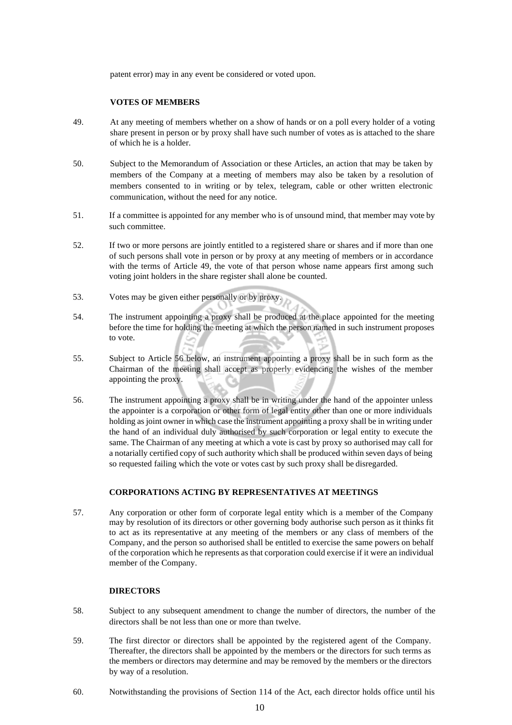patent error) may in any event be considered or voted upon.

# **VOTES OF MEMBERS**

- 49. At any meeting of members whether on a show of hands or on a poll every holder of a voting share present in person or by proxy shall have such number of votes as is attached to the share of which he is a holder.
- 50. Subject to the Memorandum of Association or these Articles, an action that may be taken by members of the Company at a meeting of members may also be taken by a resolution of members consented to in writing or by telex, telegram, cable or other written electronic communication, without the need for any notice.
- 51. If a committee is appointed for any member who is of unsound mind, that member may vote by such committee.
- 52. If two or more persons are jointly entitled to a registered share or shares and if more than one of such persons shall vote in person or by proxy at any meeting of members or in accordance with the terms of Article 49, the vote of that person whose name appears first among such voting joint holders in the share register shall alone be counted.
- 53. Votes may be given either personally or by proxy.
- 54. The instrument appointing a proxy shall be produced at the place appointed for the meeting before the time for holding the meeting at which the person named in such instrument proposes to vote.
- 55. Subject to Article 56 below, an instrument appointing a proxy shall be in such form as the Chairman of the meeting shall accept as properly evidencing the wishes of the member appointing the proxy.
- 56. The instrument appointing a proxy shall be in writing under the hand of the appointer unless the appointer is a corporation or other form of legal entity other than one or more individuals holding as joint owner in which case the instrument appointing a proxy shall be in writing under the hand of an individual duly authorised by such corporation or legal entity to execute the same. The Chairman of any meeting at which a vote is cast by proxy so authorised may call for a notarially certified copy of such authority which shall be produced within seven days of being so requested failing which the vote or votes cast by such proxy shall be disregarded.

#### **CORPORATIONS ACTING BY REPRESENTATIVES AT MEETINGS**

57. Any corporation or other form of corporate legal entity which is a member of the Company may by resolution of its directors or other governing body authorise such person as it thinks fit to act as its representative at any meeting of the members or any class of members of the Company, and the person so authorised shall be entitled to exercise the same powers on behalf of the corporation which he represents as that corporation could exercise if it were an individual member of the Company.

#### **DIRECTORS**

- 58. Subject to any subsequent amendment to change the number of directors, the number of the directors shall be not less than one or more than twelve.
- 59. The first director or directors shall be appointed by the registered agent of the Company. Thereafter, the directors shall be appointed by the members or the directors for such terms as the members or directors may determine and may be removed by the members or the directors by way of a resolution.
- 60. Notwithstanding the provisions of Section 114 of the Act, each director holds office until his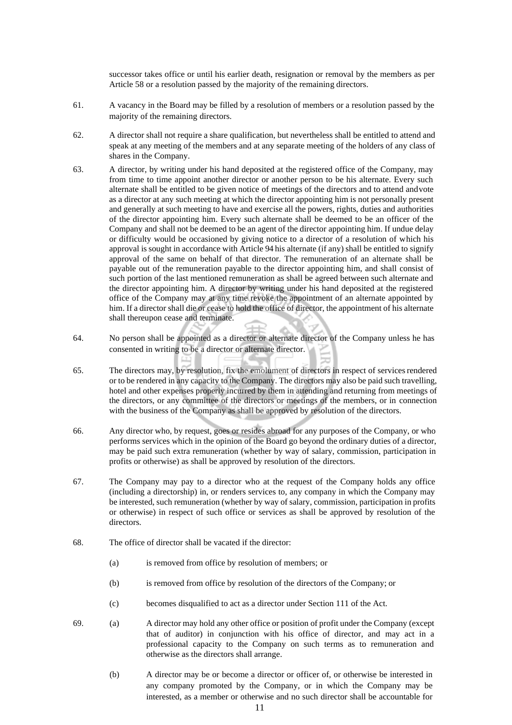successor takes office or until his earlier death, resignation or removal by the members as per Article 58 or a resolution passed by the majority of the remaining directors.

- 61. A vacancy in the Board may be filled by a resolution of members or a resolution passed by the majority of the remaining directors.
- 62. A director shall not require a share qualification, but nevertheless shall be entitled to attend and speak at any meeting of the members and at any separate meeting of the holders of any class of shares in the Company.
- 63. A director, by writing under his hand deposited at the registered office of the Company, may from time to time appoint another director or another person to be his alternate. Every such alternate shall be entitled to be given notice of meetings of the directors and to attend andvote as a director at any such meeting at which the director appointing him is not personally present and generally at such meeting to have and exercise all the powers, rights, duties and authorities of the director appointing him. Every such alternate shall be deemed to be an officer of the Company and shall not be deemed to be an agent of the director appointing him. If undue delay or difficulty would be occasioned by giving notice to a director of a resolution of which his approval is sought in accordance with Article 94 his alternate (if any) shall be entitled to signify approval of the same on behalf of that director. The remuneration of an alternate shall be payable out of the remuneration payable to the director appointing him, and shall consist of such portion of the last mentioned remuneration as shall be agreed between such alternate and the director appointing him. A director by writing under his hand deposited at the registered office of the Company may at any time revoke the appointment of an alternate appointed by him. If a director shall die or cease to hold the office of director, the appointment of his alternate shall thereupon cease and terminate.
- 64. No person shall be appointed as a director or alternate director of the Company unless he has consented in writing to be a director or alternate director.
- 65. The directors may, by resolution, fix the emolument of directors in respect of servicesrendered or to be rendered in any capacity to the Company. The directors may also be paid such travelling, hotel and other expenses properly incurred by them in attending and returning from meetings of the directors, or any committee of the directors or meetings of the members, or in connection with the business of the Company as shall be approved by resolution of the directors.
- 66. Any director who, by request, goes or resides abroad for any purposes of the Company, or who performs services which in the opinion of the Board go beyond the ordinary duties of a director, may be paid such extra remuneration (whether by way of salary, commission, participation in profits or otherwise) as shall be approved by resolution of the directors.
- 67. The Company may pay to a director who at the request of the Company holds any office (including a directorship) in, or renders services to, any company in which the Company may be interested, such remuneration (whether by way of salary, commission, participation in profits or otherwise) in respect of such office or services as shall be approved by resolution of the directors.
- 68. The office of director shall be vacated if the director:
	- (a) is removed from office by resolution of members; or
	- (b) is removed from office by resolution of the directors of the Company; or
	- (c) becomes disqualified to act as a director under Section 111 of the Act.
- 69. (a) A director may hold any other office or position of profit under the Company (except that of auditor) in conjunction with his office of director, and may act in a professional capacity to the Company on such terms as to remuneration and otherwise as the directors shall arrange.
	- (b) A director may be or become a director or officer of, or otherwise be interested in any company promoted by the Company, or in which the Company may be interested, as a member or otherwise and no such director shall be accountable for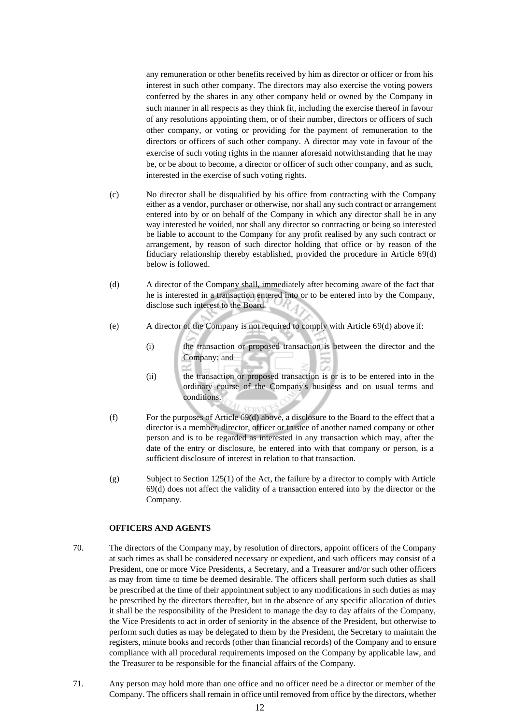any remuneration or other benefits received by him as director or officer or from his interest in such other company. The directors may also exercise the voting powers conferred by the shares in any other company held or owned by the Company in such manner in all respects as they think fit, including the exercise thereof in favour of any resolutions appointing them, or of their number, directors or officers of such other company, or voting or providing for the payment of remuneration to the directors or officers of such other company. A director may vote in favour of the exercise of such voting rights in the manner aforesaid notwithstanding that he may be, or be about to become, a director or officer of such other company, and as such, interested in the exercise of such voting rights.

- (c) No director shall be disqualified by his office from contracting with the Company either as a vendor, purchaser or otherwise, nor shall any such contract or arrangement entered into by or on behalf of the Company in which any director shall be in any way interested be voided, nor shall any director so contracting or being so interested be liable to account to the Company for any profit realised by any such contract or arrangement, by reason of such director holding that office or by reason of the fiduciary relationship thereby established, provided the procedure in Article 69(d) below is followed.
- (d) A director of the Company shall, immediately after becoming aware of the fact that he is interested in a transaction entered into or to be entered into by the Company, disclose such interest to the Board.
- (e) A director of the Company is not required to comply with Article 69(d) above if:
	- (i) the transaction or proposed transaction is between the director and the Company; and
	- (ii) the transaction or proposed transaction is or is to be entered into in the ordinary course of the Company's business and on usual terms and conditions.
- (f) For the purposes of Article 69(d) above, a disclosure to the Board to the effect that a director is a member, director, officer or trustee of another named company or other person and is to be regarded as interested in any transaction which may, after the date of the entry or disclosure, be entered into with that company or person, is a sufficient disclosure of interest in relation to that transaction.
- (g) Subject to Section 125(1) of the Act, the failure by a director to comply with Article 69(d) does not affect the validity of a transaction entered into by the director or the Company.

## **OFFICERS AND AGENTS**

- 70. The directors of the Company may, by resolution of directors, appoint officers of the Company at such times as shall be considered necessary or expedient, and such officers may consist of a President, one or more Vice Presidents, a Secretary, and a Treasurer and/or such other officers as may from time to time be deemed desirable. The officers shall perform such duties as shall be prescribed at the time of their appointment subject to any modifications in such duties as may be prescribed by the directors thereafter, but in the absence of any specific allocation of duties it shall be the responsibility of the President to manage the day to day affairs of the Company, the Vice Presidents to act in order of seniority in the absence of the President, but otherwise to perform such duties as may be delegated to them by the President, the Secretary to maintain the registers, minute books and records (other than financial records) of the Company and to ensure compliance with all procedural requirements imposed on the Company by applicable law, and the Treasurer to be responsible for the financial affairs of the Company.
- 71. Any person may hold more than one office and no officer need be a director or member of the Company. The officers shall remain in office until removed from office by the directors, whether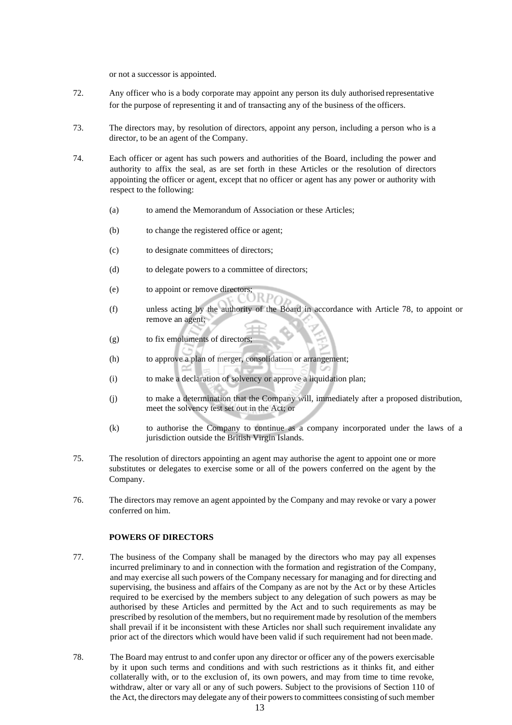or not a successor is appointed.

- 72. Any officer who is a body corporate may appoint any person its duly authorised representative for the purpose of representing it and of transacting any of the business of the officers.
- 73. The directors may, by resolution of directors, appoint any person, including a person who is a director, to be an agent of the Company.
- 74. Each officer or agent has such powers and authorities of the Board, including the power and authority to affix the seal, as are set forth in these Articles or the resolution of directors appointing the officer or agent, except that no officer or agent has any power or authority with respect to the following:
	- (a) to amend the Memorandum of Association or these Articles;
	- (b) to change the registered office or agent;
	- (c) to designate committees of directors;
	- (d) to delegate powers to a committee of directors;
	- (e) to appoint or remove directors;
	- (f) unless acting by the authority of the Board in accordance with Article 78, to appoint or remove an agent;
	- (g) to fix emoluments of directors;
	- (h) to approve a plan of merger, consolidation or arrangement;
	- (i) to make a declaration of solvency or approve a liquidation plan;
	- (j) to make a determination that the Company will, immediately after a proposed distribution, meet the solvency test set out in the Act; or
	- (k) to authorise the Company to continue as a company incorporated under the laws of a jurisdiction outside the British Virgin Islands.
- 75. The resolution of directors appointing an agent may authorise the agent to appoint one or more substitutes or delegates to exercise some or all of the powers conferred on the agent by the Company.
- 76. The directors may remove an agent appointed by the Company and may revoke or vary a power conferred on him.

#### **POWERS OF DIRECTORS**

- 77. The business of the Company shall be managed by the directors who may pay all expenses incurred preliminary to and in connection with the formation and registration of the Company, and may exercise all such powers of the Company necessary for managing and for directing and supervising, the business and affairs of the Company as are not by the Act or by these Articles required to be exercised by the members subject to any delegation of such powers as may be authorised by these Articles and permitted by the Act and to such requirements as may be prescribed by resolution of the members, but no requirement made by resolution of the members shall prevail if it be inconsistent with these Articles nor shall such requirement invalidate any prior act of the directors which would have been valid if such requirement had not beenmade.
- 78. The Board may entrust to and confer upon any director or officer any of the powers exercisable by it upon such terms and conditions and with such restrictions as it thinks fit, and either collaterally with, or to the exclusion of, its own powers, and may from time to time revoke, withdraw, alter or vary all or any of such powers. Subject to the provisions of Section 110 of the Act, the directors may delegate any of their powers to committees consisting of such member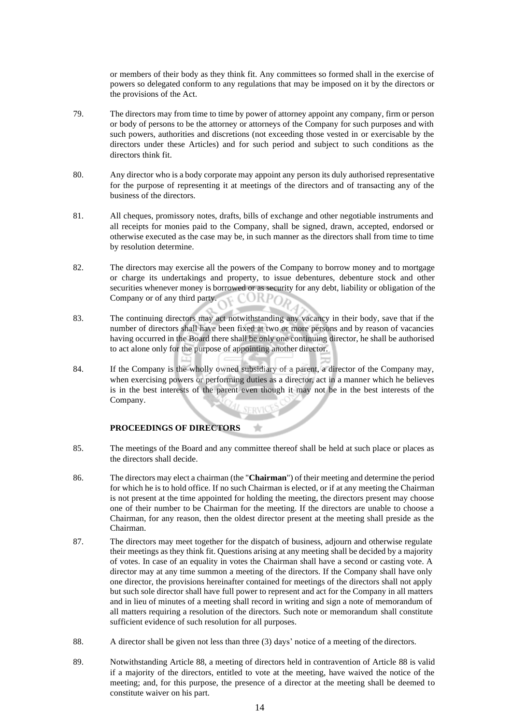or members of their body as they think fit. Any committees so formed shall in the exercise of powers so delegated conform to any regulations that may be imposed on it by the directors or the provisions of the Act.

- 79. The directors may from time to time by power of attorney appoint any company, firm or person or body of persons to be the attorney or attorneys of the Company for such purposes and with such powers, authorities and discretions (not exceeding those vested in or exercisable by the directors under these Articles) and for such period and subject to such conditions as the directors think fit.
- 80. Any director who is a body corporate may appoint any person its duly authorised representative for the purpose of representing it at meetings of the directors and of transacting any of the business of the directors.
- 81. All cheques, promissory notes, drafts, bills of exchange and other negotiable instruments and all receipts for monies paid to the Company, shall be signed, drawn, accepted, endorsed or otherwise executed as the case may be, in such manner as the directors shall from time to time by resolution determine.
- 82. The directors may exercise all the powers of the Company to borrow money and to mortgage or charge its undertakings and property, to issue debentures, debenture stock and other securities whenever money is borrowed or as security for any debt, liability or obligation of the Company or of any third party. E CORPO
- 83. The continuing directors may act notwithstanding any vacancy in their body, save that if the number of directors shall have been fixed at two or more persons and by reason of vacancies having occurred in the Board there shall be only one continuing director, he shall be authorised to act alone only for the purpose of appointing another director.
- 84. If the Company is the wholly owned subsidiary of a parent, a director of the Company may, when exercising powers or performing duties as a director, act in a manner which he believes is in the best interests of the parent even though it may not be in the best interests of the Company.

# **PROCEEDINGS OF DIRECTORS**

- 85. The meetings of the Board and any committee thereof shall be held at such place or places as the directors shall decide.
- 86. The directors may elect a chairman (the "**Chairman**") of their meeting and determine the period for which he is to hold office. If no such Chairman is elected, or if at any meeting the Chairman is not present at the time appointed for holding the meeting, the directors present may choose one of their number to be Chairman for the meeting. If the directors are unable to choose a Chairman, for any reason, then the oldest director present at the meeting shall preside as the Chairman.
- 87. The directors may meet together for the dispatch of business, adjourn and otherwise regulate their meetings as they think fit. Questions arising at any meeting shall be decided by a majority of votes. In case of an equality in votes the Chairman shall have a second or casting vote. A director may at any time summon a meeting of the directors. If the Company shall have only one director, the provisions hereinafter contained for meetings of the directors shall not apply but such sole director shall have full power to represent and act for the Company in all matters and in lieu of minutes of a meeting shall record in writing and sign a note of memorandum of all matters requiring a resolution of the directors. Such note or memorandum shall constitute sufficient evidence of such resolution for all purposes.
- 88. A director shall be given not less than three (3) days' notice of a meeting of the directors.
- 89. Notwithstanding Article 88, a meeting of directors held in contravention of Article 88 is valid if a majority of the directors, entitled to vote at the meeting, have waived the notice of the meeting; and, for this purpose, the presence of a director at the meeting shall be deemed to constitute waiver on his part.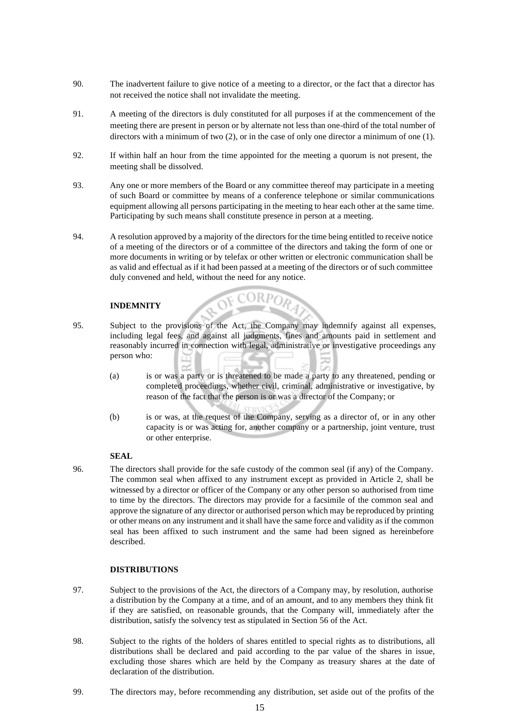- 90. The inadvertent failure to give notice of a meeting to a director, or the fact that a director has not received the notice shall not invalidate the meeting.
- 91. A meeting of the directors is duly constituted for all purposes if at the commencement of the meeting there are present in person or by alternate not less than one-third of the total number of directors with a minimum of two (2), or in the case of only one director a minimum of one (1).
- 92. If within half an hour from the time appointed for the meeting a quorum is not present, the meeting shall be dissolved.
- 93. Any one or more members of the Board or any committee thereof may participate in a meeting of such Board or committee by means of a conference telephone or similar communications equipment allowing all persons participating in the meeting to hear each other at the same time. Participating by such means shall constitute presence in person at a meeting.
- 94. A resolution approved by a majority of the directors for the time being entitled to receive notice of a meeting of the directors or of a committee of the directors and taking the form of one or more documents in writing or by telefax or other written or electronic communication shall be as valid and effectual as if it had been passed at a meeting of the directors or of such committee duly convened and held, without the need for any notice.

#### **INDEMNITY**

- 95. Subject to the provisions of the Act, the Company may indemnify against all expenses, including legal fees, and against all judgments, fines and amounts paid in settlement and reasonably incurred in connection with legal, administrative or investigative proceedings any person who:
	- (a) is or was a party or is threatened to be made a party to any threatened, pending or completed proceedings, whether civil, criminal, administrative or investigative, by reason of the fact that the person is or was a director of the Company; or
	- (b) is or was, at the request of the Company, serving as a director of, or in any other capacity is or was acting for, another company or a partnership, joint venture, trust or other enterprise.

#### **SEAL**

96. The directors shall provide for the safe custody of the common seal (if any) of the Company. The common seal when affixed to any instrument except as provided in Article 2, shall be witnessed by a director or officer of the Company or any other person so authorised from time to time by the directors. The directors may provide for a facsimile of the common seal and approve the signature of any director or authorised person which may be reproduced by printing or other means on any instrument and it shall have the same force and validity as if the common seal has been affixed to such instrument and the same had been signed as hereinbefore described.

# **DISTRIBUTIONS**

- 97. Subject to the provisions of the Act, the directors of a Company may, by resolution, authorise a distribution by the Company at a time, and of an amount, and to any members they think fit if they are satisfied, on reasonable grounds, that the Company will, immediately after the distribution, satisfy the solvency test as stipulated in Section 56 of the Act.
- 98. Subject to the rights of the holders of shares entitled to special rights as to distributions, all distributions shall be declared and paid according to the par value of the shares in issue, excluding those shares which are held by the Company as treasury shares at the date of declaration of the distribution.
- 99. The directors may, before recommending any distribution, set aside out of the profits of the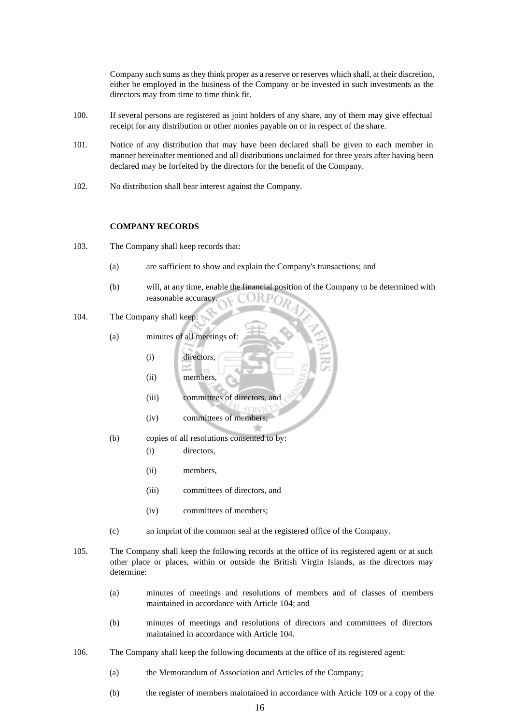Company such sums asthey think proper as a reserve or reserves which shall, at their discretion, either be employed in the business of the Company or be invested in such investments as the directors may from time to time think fit.

- 100. If several persons are registered as joint holders of any share, any of them may give effectual receipt for any distribution or other monies payable on or in respect of the share.
- 101. Notice of any distribution that may have been declared shall be given to each member in manner hereinafter mentioned and all distributions unclaimed for three years after having been declared may be forfeited by the directors for the benefit of the Company.
- 102. No distribution shall bear interest against the Company.

#### **COMPANY RECORDS**

- 103. The Company shall keep records that:
	- (a) are sufficient to show and explain the Company's transactions; and
	- (b) will, at any time, enable the financial position of the Company to be determined with reasonable accuracy. O R.
- 104. The Company shall keep:
	- (a) minutes of all meetings of:
		- (i) directors,
		- (ii) members,
		- (iii) committees of directors, and
		- (iv) committees of members;
	- (b) copies of all resolutions consented to by:
		- (i) directors,
		- (ii) members,
		- (iii) committees of directors, and
		- (iv) committees of members;
	- (c) an imprint of the common seal at the registered office of the Company.
- 105. The Company shall keep the following records at the office of its registered agent or at such other place or places, within or outside the British Virgin Islands, as the directors may determine:
	- (a) minutes of meetings and resolutions of members and of classes of members maintained in accordance with Article 104; and
	- (b) minutes of meetings and resolutions of directors and committees of directors maintained in accordance with Article 104.
- 106. The Company shall keep the following documents at the office of its registered agent:
	- (a) the Memorandum of Association and Articles of the Company;
	- (b) the register of members maintained in accordance with Article 109 or a copy of the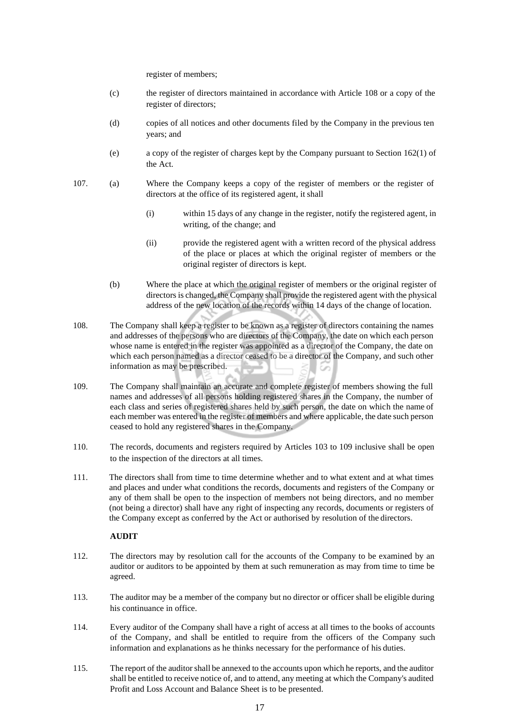register of members;

- (c) the register of directors maintained in accordance with Article 108 or a copy of the register of directors;
- (d) copies of all notices and other documents filed by the Company in the previous ten years; and
- (e) a copy of the register of charges kept by the Company pursuant to Section 162(1) of the Act.
- 107. (a) Where the Company keeps a copy of the register of members or the register of directors at the office of its registered agent, it shall
	- (i) within 15 days of any change in the register, notify the registered agent, in writing, of the change; and
	- (ii) provide the registered agent with a written record of the physical address of the place or places at which the original register of members or the original register of directors is kept.
	- (b) Where the place at which the original register of members or the original register of directors is changed, the Company shall provide the registered agent with the physical address of the new location of the records within 14 days of the change of location.
- 108. The Company shall keep a register to be known as a register of directors containing the names and addresses of the persons who are directors of the Company, the date on which each person whose name is entered in the register was appointed as a director of the Company, the date on which each person named as a director ceased to be a director of the Company, and such other information as may be prescribed.
- 109. The Company shall maintain an accurate and complete register of members showing the full names and addresses of all persons holding registered shares in the Company, the number of each class and series of registered shares held by such person, the date on which the name of each member was entered in the register of members and where applicable, the date such person ceased to hold any registered shares in the Company.
- 110. The records, documents and registers required by Articles 103 to 109 inclusive shall be open to the inspection of the directors at all times.
- 111. The directors shall from time to time determine whether and to what extent and at what times and places and under what conditions the records, documents and registers of the Company or any of them shall be open to the inspection of members not being directors, and no member (not being a director) shall have any right of inspecting any records, documents or registers of the Company except as conferred by the Act or authorised by resolution of the directors.

# **AUDIT**

- 112. The directors may by resolution call for the accounts of the Company to be examined by an auditor or auditors to be appointed by them at such remuneration as may from time to time be agreed.
- 113. The auditor may be a member of the company but no director or officer shall be eligible during his continuance in office.
- 114. Every auditor of the Company shall have a right of access at all times to the books of accounts of the Company, and shall be entitled to require from the officers of the Company such information and explanations as he thinks necessary for the performance of his duties.
- 115. The report of the auditorshall be annexed to the accounts upon which he reports, and the auditor shall be entitled to receive notice of, and to attend, any meeting at which the Company's audited Profit and Loss Account and Balance Sheet is to be presented.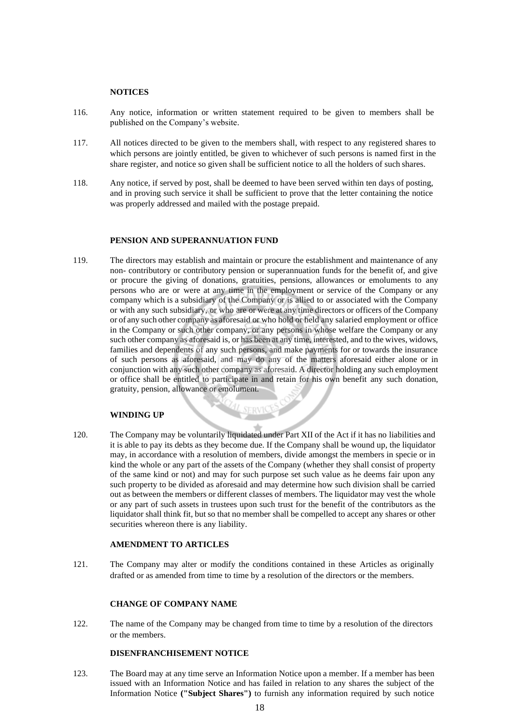## **NOTICES**

- 116. Any notice, information or written statement required to be given to members shall be published on the Company's website.
- 117. All notices directed to be given to the members shall, with respect to any registered shares to which persons are jointly entitled, be given to whichever of such persons is named first in the share register, and notice so given shall be sufficient notice to all the holders of such shares.
- 118. Any notice, if served by post, shall be deemed to have been served within ten days of posting, and in proving such service it shall be sufficient to prove that the letter containing the notice was properly addressed and mailed with the postage prepaid.

#### **PENSION AND SUPERANNUATION FUND**

119. The directors may establish and maintain or procure the establishment and maintenance of any non- contributory or contributory pension or superannuation funds for the benefit of, and give or procure the giving of donations, gratuities, pensions, allowances or emoluments to any persons who are or were at any time in the employment or service of the Company or any company which is a subsidiary of the Company or is allied to or associated with the Company or with any such subsidiary, or who are or were at any time directors or officers of the Company or of any such other company as aforesaid or who hold or held any salaried employment or office in the Company or such other company, or any persons in whose welfare the Company or any such other company as aforesaid is, or has been at any time, interested, and to the wives, widows, families and dependents of any such persons, and make payments for or towards the insurance of such persons as aforesaid, and may do any of the matters aforesaid either alone or in conjunction with any such other company as aforesaid. A director holding any such employment or office shall be entitled to participate in and retain for his own benefit any such donation, gratuity, pension, allowance or emolument.

#### **WINDING UP**

120. The Company may be voluntarily liquidated under Part XII of the Act if it has no liabilities and it is able to pay its debts as they become due. If the Company shall be wound up, the liquidator may, in accordance with a resolution of members, divide amongst the members in specie or in kind the whole or any part of the assets of the Company (whether they shall consist of property of the same kind or not) and may for such purpose set such value as he deems fair upon any such property to be divided as aforesaid and may determine how such division shall be carried out as between the members or different classes of members. The liquidator may vest the whole or any part of such assets in trustees upon such trust for the benefit of the contributors as the liquidator shall think fit, but so that no member shall be compelled to accept any shares or other securities whereon there is any liability.

**SERVK** 

# **AMENDMENT TO ARTICLES**

121. The Company may alter or modify the conditions contained in these Articles as originally drafted or as amended from time to time by a resolution of the directors or the members.

#### **CHANGE OF COMPANY NAME**

122. The name of the Company may be changed from time to time by a resolution of the directors or the members.

# **DISENFRANCHISEMENT NOTICE**

123. The Board may at any time serve an Information Notice upon a member. If a member has been issued with an Information Notice and has failed in relation to any shares the subject of the Information Notice **("Subject Shares")** to furnish any information required by such notice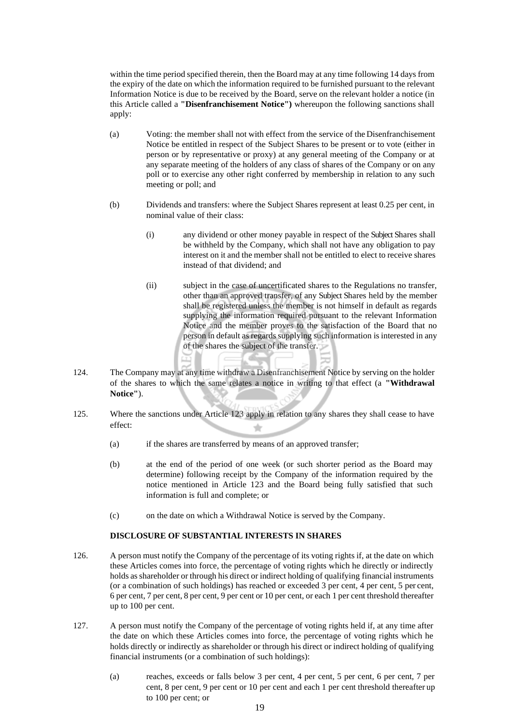within the time period specified therein, then the Board may at any time following 14 days from the expiry of the date on which the information required to be furnished pursuant to the relevant Information Notice is due to be received by the Board, serve on the relevant holder a notice (in this Article called a **"Disenfranchisement Notice")** whereupon the following sanctions shall apply:

- (a) Voting: the member shall not with effect from the service of the Disenfranchisement Notice be entitled in respect of the Subject Shares to be present or to vote (either in person or by representative or proxy) at any general meeting of the Company or at any separate meeting of the holders of any class of shares of the Company or on any poll or to exercise any other right conferred by membership in relation to any such meeting or poll; and
- (b) Dividends and transfers: where the Subject Shares represent at least 0.25 per cent, in nominal value of their class:
	- (i) any dividend or other money payable in respect of the Subject Shares shall be withheld by the Company, which shall not have any obligation to pay interest on it and the member shall not be entitled to elect to receive shares instead of that dividend; and
	- (ii) subject in the case of uncertificated shares to the Regulations no transfer, other than an approved transfer, of any Subject Shares held by the member shall be registered unless the member is not himself in default as regards supplying the information required pursuant to the relevant Information Notice and the member proves to the satisfaction of the Board that no person in default as regards supplying such information is interested in any of the shares the subject of the transfer.
- 124. The Company may at any time withdraw a Disenfranchisement Notice by serving on the holder of the shares to which the same relates a notice in writing to that effect (a **"Withdrawal Notice"**).
- 125. Where the sanctions under Article 123 apply in relation to any shares they shall cease to have effect:
	- (a) if the shares are transferred by means of an approved transfer;
	- (b) at the end of the period of one week (or such shorter period as the Board may determine) following receipt by the Company of the information required by the notice mentioned in Article 123 and the Board being fully satisfied that such information is full and complete; or
	- (c) on the date on which a Withdrawal Notice is served by the Company.

# **DISCLOSURE OF SUBSTANTIAL INTERESTS IN SHARES**

- 126. A person must notify the Company of the percentage of its voting rights if, at the date on which these Articles comes into force, the percentage of voting rights which he directly or indirectly holds asshareholder or through his direct or indirect holding of qualifying financial instruments (or a combination of such holdings) has reached or exceeded 3 per cent, 4 per cent, 5 per cent, 6 per cent, 7 per cent, 8 per cent, 9 per cent or 10 per cent, or each 1 per cent threshold thereafter up to 100 per cent.
- 127. A person must notify the Company of the percentage of voting rights held if, at any time after the date on which these Articles comes into force, the percentage of voting rights which he holds directly or indirectly as shareholder or through his direct or indirect holding of qualifying financial instruments (or a combination of such holdings):
	- (a) reaches, exceeds or falls below 3 per cent, 4 per cent, 5 per cent, 6 per cent, 7 per cent, 8 per cent, 9 per cent or 10 per cent and each 1 per cent threshold thereafter up to 100 per cent; or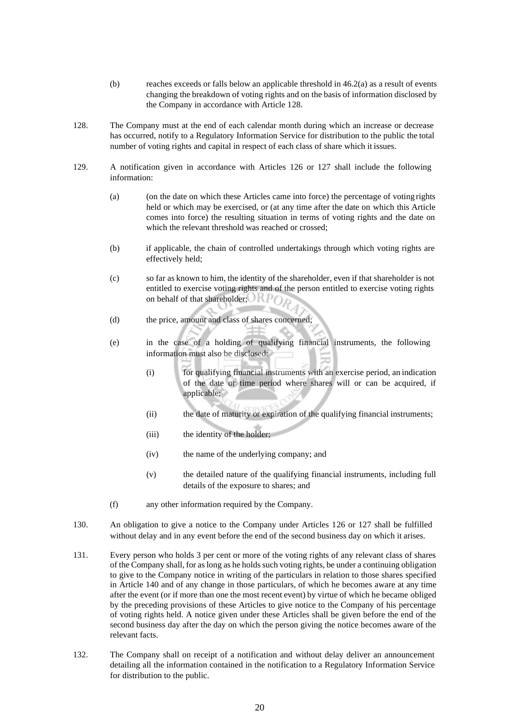- (b) reaches exceeds or falls below an applicable threshold in  $46.2(a)$  as a result of events changing the breakdown of voting rights and on the basis of information disclosed by the Company in accordance with Article 128.
- 128. The Company must at the end of each calendar month during which an increase or decrease has occurred, notify to a Regulatory Information Service for distribution to the public the total number of voting rights and capital in respect of each class of share which it issues.
- 129. A notification given in accordance with Articles 126 or 127 shall include the following information:
	- (a) (on the date on which these Articles came into force) the percentage of voting rights held or which may be exercised, or (at any time after the date on which this Article comes into force) the resulting situation in terms of voting rights and the date on which the relevant threshold was reached or crossed;
	- (b) if applicable, the chain of controlled undertakings through which voting rights are effectively held;
	- (c) so far as known to him, the identity of the shareholder, even if that shareholder is not entitled to exercise voting rights and of the person entitled to exercise voting rights on behalf of that shareholder;
	- (d) the price, amount and class of shares concerned;
	- (e) in the case of a holding of qualifying financial instruments, the following information must also be disclosed:
		- (i) for qualifying financial instruments with an exercise period, an indication of the date or time period where shares will or can be acquired, if applicable;
		- (ii) the date of maturity or expiration of the qualifying financial instruments;
		- (iii) the identity of the holder;
		- (iv) the name of the underlying company; and
		- (v) the detailed nature of the qualifying financial instruments, including full details of the exposure to shares; and
	- (f) any other information required by the Company.
- 130. An obligation to give a notice to the Company under Articles 126 or 127 shall be fulfilled without delay and in any event before the end of the second business day on which it arises.
- 131. Every person who holds 3 per cent or more of the voting rights of any relevant class of shares of the Company shall, for as long as he holds such voting rights, be under a continuing obligation to give to the Company notice in writing of the particulars in relation to those shares specified in Article 140 and of any change in those particulars, of which he becomes aware at any time after the event (or if more than one the most recent event) by virtue of which he became obliged by the preceding provisions of these Articles to give notice to the Company of his percentage of voting rights held. A notice given under these Articles shall be given before the end of the second business day after the day on which the person giving the notice becomes aware of the relevant facts.
- 132. The Company shall on receipt of a notification and without delay deliver an announcement detailing all the information contained in the notification to a Regulatory Information Service for distribution to the public.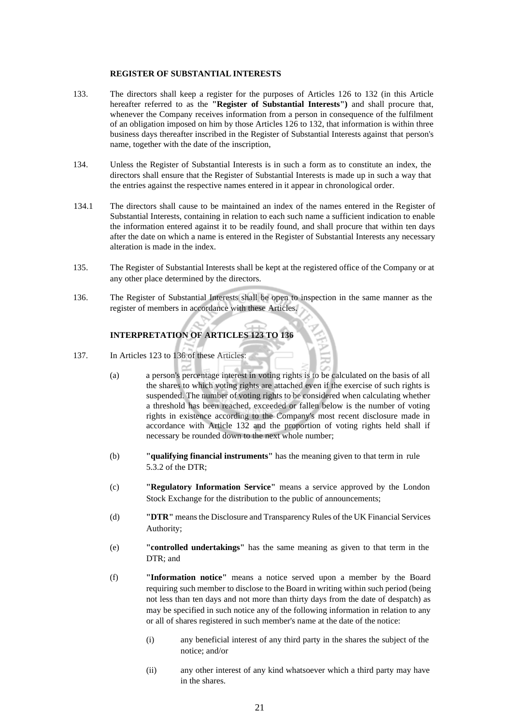# **REGISTER OF SUBSTANTIAL INTERESTS**

- 133. The directors shall keep a register for the purposes of Articles 126 to 132 (in this Article hereafter referred to as the **"Register of Substantial Interests")** and shall procure that, whenever the Company receives information from a person in consequence of the fulfilment of an obligation imposed on him by those Articles 126 to 132, that information is within three business days thereafter inscribed in the Register of Substantial Interests against that person's name, together with the date of the inscription,
- 134. Unless the Register of Substantial Interests is in such a form as to constitute an index, the directors shall ensure that the Register of Substantial Interests is made up in such a way that the entries against the respective names entered in it appear in chronological order.
- 134.1 The directors shall cause to be maintained an index of the names entered in the Register of Substantial Interests, containing in relation to each such name a sufficient indication to enable the information entered against it to be readily found, and shall procure that within ten days after the date on which a name is entered in the Register of Substantial Interests any necessary alteration is made in the index.
- 135. The Register of Substantial Interests shall be kept at the registered office of the Company or at any other place determined by the directors.
- 136. The Register of Substantial Interests shall be open to inspection in the same manner as the register of members in accordance with these Articles.

# **INTERPRETATION OF ARTICLES 123 TO 136**

- 137. In Articles 123 to 136 of these Articles:
	- (a) a person's percentage interest in voting rights is to be calculated on the basis of all the shares to which voting rights are attached even if the exercise of such rights is suspended. The number of voting rights to be considered when calculating whether a threshold has been reached, exceeded or fallen below is the number of voting rights in existence according to the Company's most recent disclosure made in accordance with Article 132 and the proportion of voting rights held shall if necessary be rounded down to the next whole number;
	- (b) **"qualifying financial instruments"** has the meaning given to that term in rule 5.3.2 of the DTR;
	- (c) **"Regulatory Information Service"** means a service approved by the London Stock Exchange for the distribution to the public of announcements;
	- (d) **"DTR"** means the Disclosure and Transparency Rules of the UK Financial Services Authority;
	- (e) **"controlled undertakings"** has the same meaning as given to that term in the DTR; and
	- (f) **"Information notice"** means a notice served upon a member by the Board requiring such member to disclose to the Board in writing within such period (being not less than ten days and not more than thirty days from the date of despatch) as may be specified in such notice any of the following information in relation to any or all of shares registered in such member's name at the date of the notice:
		- (i) any beneficial interest of any third party in the shares the subject of the notice; and/or
		- (ii) any other interest of any kind whatsoever which a third party may have in the shares.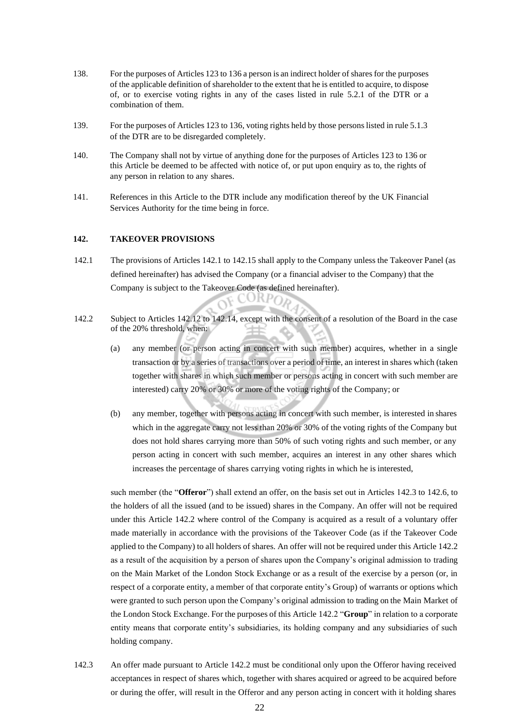- 138. For the purposes of Articles 123 to 136 a person is an indirect holder of shares for the purposes of the applicable definition of shareholder to the extent that he is entitled to acquire, to dispose of, or to exercise voting rights in any of the cases listed in rule 5.2.1 of the DTR or a combination of them.
- 139. For the purposes of Articles 123 to 136, voting rights held by those persons listed in rule 5.1.3 of the DTR are to be disregarded completely.
- 140. The Company shall not by virtue of anything done for the purposes of Articles 123 to 136 or this Article be deemed to be affected with notice of, or put upon enquiry as to, the rights of any person in relation to any shares.
- 141. References in this Article to the DTR include any modification thereof by the UK Financial Services Authority for the time being in force.

#### **142. TAKEOVER PROVISIONS**

- 142.1 The provisions of Articles 142.1 to 142.15 shall apply to the Company unless the Takeover Panel (as defined hereinafter) has advised the Company (or a financial adviser to the Company) that the Company is subject to the Takeover Code (as defined hereinafter).
- 142.2 Subject to Articles 142.12 to 142.14, except with the consent of a resolution of the Board in the case of the 20% threshold, when:
	- (a) any member (or person acting in concert with such member) acquires, whether in a single transaction or by a series of transactions over a period of time, an interest in shares which (taken together with shares in which such member or persons acting in concert with such member are interested) carry 20% or 30% or more of the voting rights of the Company; or
	- (b) any member, together with persons acting in concert with such member, is interested in shares which in the aggregate carry not less than 20% or 30% of the voting rights of the Company but does not hold shares carrying more than 50% of such voting rights and such member, or any person acting in concert with such member, acquires an interest in any other shares which increases the percentage of shares carrying voting rights in which he is interested,

such member (the "**Offeror**") shall extend an offer, on the basis set out in Articles 142.3 to 142.6, to the holders of all the issued (and to be issued) shares in the Company. An offer will not be required under this Article 142.2 where control of the Company is acquired as a result of a voluntary offer made materially in accordance with the provisions of the Takeover Code (as if the Takeover Code applied to the Company) to all holders of shares. An offer will not be required under this Article 142.2 as a result of the acquisition by a person of shares upon the Company's original admission to trading on the Main Market of the London Stock Exchange or as a result of the exercise by a person (or, in respect of a corporate entity, a member of that corporate entity's Group) of warrants or options which were granted to such person upon the Company's original admission to trading on the Main Market of the London Stock Exchange. For the purposes of this Article 142.2 "**Group**" in relation to a corporate entity means that corporate entity's subsidiaries, its holding company and any subsidiaries of such holding company.

142.3 An offer made pursuant to Article 142.2 must be conditional only upon the Offeror having received acceptances in respect of shares which, together with shares acquired or agreed to be acquired before or during the offer, will result in the Offeror and any person acting in concert with it holding shares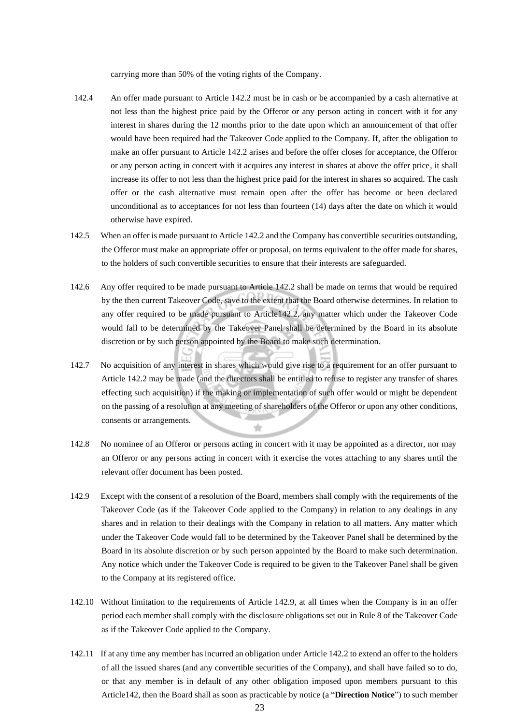carrying more than 50% of the voting rights of the Company.

- 142.4 An offer made pursuant to Article 142.2 must be in cash or be accompanied by a cash alternative at not less than the highest price paid by the Offeror or any person acting in concert with it for any interest in shares during the 12 months prior to the date upon which an announcement of that offer would have been required had the Takeover Code applied to the Company. If, after the obligation to make an offer pursuant to Article 142.2 arises and before the offer closes for acceptance, the Offeror or any person acting in concert with it acquires any interest in shares at above the offer price, it shall increase its offer to not less than the highest price paid for the interest in shares so acquired. The cash offer or the cash alternative must remain open after the offer has become or been declared unconditional as to acceptances for not less than fourteen (14) days after the date on which it would otherwise have expired.
- 142.5 When an offer is made pursuant to Article 142.2 and the Company has convertible securities outstanding, the Offeror must make an appropriate offer or proposal, on terms equivalent to the offer made for shares, to the holders of such convertible securities to ensure that their interests are safeguarded.
- 142.6 Any offer required to be made pursuant to Article 142.2 shall be made on terms that would be required by the then current Takeover Code, save to the extent that the Board otherwise determines. In relation to any offer required to be made pursuant to Article142.2, any matter which under the Takeover Code would fall to be determined by the Takeover Panel shall be determined by the Board in its absolute discretion or by such person appointed by the Board to make such determination.
- 142.7 No acquisition of any interest in shares which would give rise to a requirement for an offer pursuant to Article 142.2 may be made (and the directors shall be entitled to refuse to register any transfer of shares effecting such acquisition) if the making or implementation of such offer would or might be dependent on the passing of a resolution at any meeting of shareholders of the Offeror or upon any other conditions, consents or arrangements. ÷
- 142.8 No nominee of an Offeror or persons acting in concert with it may be appointed as a director, nor may an Offeror or any persons acting in concert with it exercise the votes attaching to any shares until the relevant offer document has been posted.
- 142.9 Except with the consent of a resolution of the Board, members shall comply with the requirements of the Takeover Code (as if the Takeover Code applied to the Company) in relation to any dealings in any shares and in relation to their dealings with the Company in relation to all matters. Any matter which under the Takeover Code would fall to be determined by the Takeover Panel shall be determined by the Board in its absolute discretion or by such person appointed by the Board to make such determination. Any notice which under the Takeover Code is required to be given to the Takeover Panel shall be given to the Company at its registered office.
- 142.10 Without limitation to the requirements of Article 142.9, at all times when the Company is in an offer period each member shall comply with the disclosure obligations set out in Rule 8 of the Takeover Code as if the Takeover Code applied to the Company.
- 142.11 If at any time any member hasincurred an obligation under Article 142.2 to extend an offer to the holders of all the issued shares (and any convertible securities of the Company), and shall have failed so to do, or that any member is in default of any other obligation imposed upon members pursuant to this Article142, then the Board shall as soon as practicable by notice (a "**Direction Notice**") to such member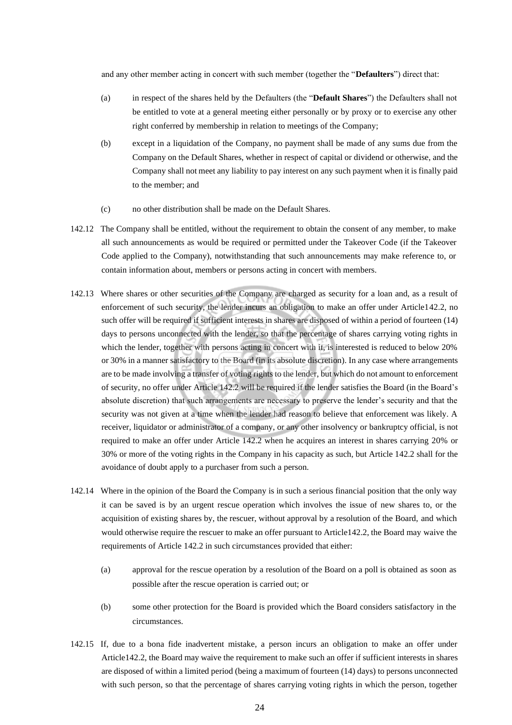and any other member acting in concert with such member (together the "**Defaulters**") direct that:

- (a) in respect of the shares held by the Defaulters (the "**Default Shares**") the Defaulters shall not be entitled to vote at a general meeting either personally or by proxy or to exercise any other right conferred by membership in relation to meetings of the Company;
- (b) except in a liquidation of the Company, no payment shall be made of any sums due from the Company on the Default Shares, whether in respect of capital or dividend or otherwise, and the Company shall not meet any liability to pay interest on any such payment when it is finally paid to the member; and
- (c) no other distribution shall be made on the Default Shares.
- 142.12 The Company shall be entitled, without the requirement to obtain the consent of any member, to make all such announcements as would be required or permitted under the Takeover Code (if the Takeover Code applied to the Company), notwithstanding that such announcements may make reference to, or contain information about, members or persons acting in concert with members.
- 142.13 Where shares or other securities of the Company are charged as security for a loan and, as a result of enforcement of such security, the lender incurs an obligation to make an offer under Article142.2, no such offer will be required if sufficient interests in shares are disposed of within a period of fourteen (14) days to persons unconnected with the lender, so that the percentage of shares carrying voting rights in which the lender, together with persons acting in concert with it, is interested is reduced to below 20% or 30% in a manner satisfactory to the Board (in its absolute discretion). In any case where arrangements are to be made involving a transfer of voting rights to the lender, but which do not amount to enforcement of security, no offer under Article 142.2 will be required if the lender satisfies the Board (in the Board's absolute discretion) that such arrangements are necessary to preserve the lender's security and that the security was not given at a time when the lender had reason to believe that enforcement was likely. A receiver, liquidator or administrator of a company, or any other insolvency or bankruptcy official, is not required to make an offer under Article 142.2 when he acquires an interest in shares carrying 20% or 30% or more of the voting rights in the Company in his capacity as such, but Article 142.2 shall for the avoidance of doubt apply to a purchaser from such a person.
- 142.14 Where in the opinion of the Board the Company is in such a serious financial position that the only way it can be saved is by an urgent rescue operation which involves the issue of new shares to, or the acquisition of existing shares by, the rescuer, without approval by a resolution of the Board, and which would otherwise require the rescuer to make an offer pursuant to Article142.2, the Board may waive the requirements of Article 142.2 in such circumstances provided that either:
	- (a) approval for the rescue operation by a resolution of the Board on a poll is obtained as soon as possible after the rescue operation is carried out; or
	- (b) some other protection for the Board is provided which the Board considers satisfactory in the circumstances.
- 142.15 If, due to a bona fide inadvertent mistake, a person incurs an obligation to make an offer under Article142.2, the Board may waive the requirement to make such an offer if sufficient interests in shares are disposed of within a limited period (being a maximum of fourteen (14) days) to persons unconnected with such person, so that the percentage of shares carrying voting rights in which the person, together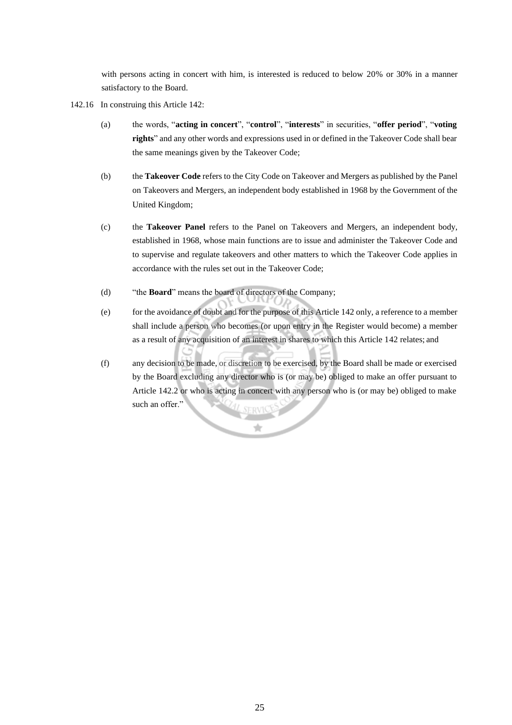with persons acting in concert with him, is interested is reduced to below 20% or 30% in a manner satisfactory to the Board.

- 142.16 In construing this Article 142:
	- (a) the words, "**acting in concert**", "**control**", "**interests**" in securities, "**offer period**", "**voting rights**" and any other words and expressions used in or defined in the Takeover Code shall bear the same meanings given by the Takeover Code;
	- (b) the **Takeover Code** refers to the City Code on Takeover and Mergers as published by the Panel on Takeovers and Mergers, an independent body established in 1968 by the Government of the United Kingdom;
	- (c) the **Takeover Panel** refers to the Panel on Takeovers and Mergers, an independent body, established in 1968, whose main functions are to issue and administer the Takeover Code and to supervise and regulate takeovers and other matters to which the Takeover Code applies in accordance with the rules set out in the Takeover Code;
	- (d) "the **Board**" means the board of directors of the Company;
	- (e) for the avoidance of doubt and for the purpose of this Article 142 only, a reference to a member shall include a person who becomes (or upon entry in the Register would become) a member as a result of any acquisition of an interest in shares to which this Article 142 relates; and
	- (f) any decision to be made, or discretion to be exercised, by the Board shall be made or exercised by the Board excluding any director who is (or may be) obliged to make an offer pursuant to Article 142.2 or who is acting in concert with any person who is (or may be) obliged to make such an offer."

Ŕ